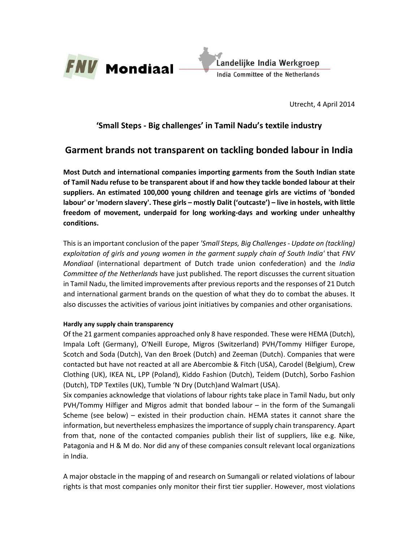

Utrecht, 4 April 2014

# **'Small Steps - Big challenges' in Tamil Nadu's textile industry**

# **Garment brands not transparent on tackling bonded labour in India**

**Most Dutch and international companies importing garments from the South Indian state of Tamil Nadu refuse to be transparent about if and how they tackle bonded labour at their suppliers. An estimated 100,000 young children and teenage girls are victims of 'bonded labour' or 'modern slavery'. These girls – mostly Dalit ('outcaste') – live in hostels, with little freedom of movement, underpaid for long working-days and working under unhealthy conditions.** 

This is an important conclusion of the paper *'Small Steps, Big Challenges - Update on (tackling) exploitation of girls and young women in the garment supply chain of South India'* that *FNV Mondiaal* (international department of Dutch trade union confederation) and the *India Committee of the Netherlands* have just published. The report discusses the current situation in Tamil Nadu, the limited improvements after previous reports and the responses of 21 Dutch and international garment brands on the question of what they do to combat the abuses. It also discusses the activities of various joint initiatives by companies and other organisations.

#### **Hardly any supply chain transparency**

Of the 21 garment companies approached only 8 have responded. These were HEMA (Dutch), Impala Loft (Germany), O'Neill Europe, Migros (Switzerland) PVH/Tommy Hilfiger Europe, Scotch and Soda (Dutch), Van den Broek (Dutch) and Zeeman (Dutch). Companies that were contacted but have not reacted at all are Abercombie & Fitch (USA), Carodel (Belgium), Crew Clothing (UK), IKEA NL, LPP (Poland), Kiddo Fashion (Dutch), Teidem (Dutch), Sorbo Fashion (Dutch), TDP Textiles (UK), Tumble 'N Dry (Dutch)and Walmart (USA).

Six companies acknowledge that violations of labour rights take place in Tamil Nadu, but only PVH/Tommy Hilfiger and Migros admit that bonded labour – in the form of the Sumangali Scheme (see below) – existed in their production chain. HEMA states it cannot share the information, but nevertheless emphasizes the importance of supply chain transparency. Apart from that, none of the contacted companies publish their list of suppliers, like e.g. Nike, Patagonia and H & M do. Nor did any of these companies consult relevant local organizations in India.

A major obstacle in the mapping of and research on Sumangali or related violations of labour rights is that most companies only monitor their first tier supplier. However, most violations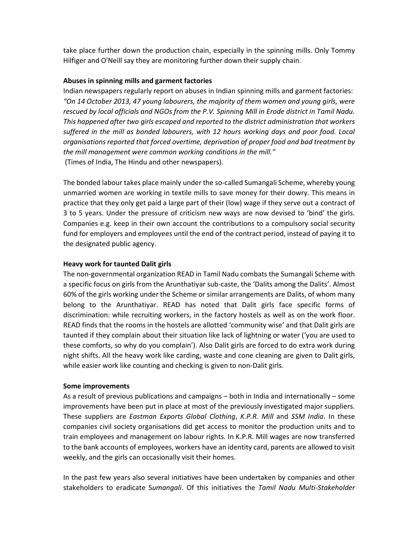take place further down the production chain, especially in the spinning mills. Only Tommy Hilfiger and O'Neill say they are monitoring further down their supply chain.

## **Abuses in spinning mills and garment factories**

Indian newspapers regularly report on abuses in Indian spinning mills and garment factories: *"On 14 October 2013, 47 young labourers, the majority of them women and young girls, were rescued by local officials and NGOs from the P.V. Spinning Mill in Erode district in Tamil Nadu. This happened after two girls escaped and reported to the district administration that workers suffered in the mill as bonded labourers, with 12 hours working days and poor food. Local organisations reported that forced overtime, deprivation of proper food and bad treatment by the mill management were common working conditions in the mill."*  (Times of India, The Hindu and other newspapers).

The bonded labour takes place mainly under the so-called Sumangali Scheme, whereby young unmarried women are working in textile mills to save money for their dowry. This means in practice that they only get paid a large part of their (low) wage if they serve out a contract of 3 to 5 years. Under the pressure of criticism new ways are now devised to 'bind' the girls. Companies e.g. keep in their own account the contributions to a compulsory social security fund for employers and employees until the end of the contract period, instead of paying it to the designated public agency.

## **Heavy work for taunted Dalit girls**

The non-governmental organization READ in Tamil Nadu combats the Sumangali Scheme with a specific focus on girls from the Arunthatiyar sub-caste, the 'Dalits among the Dalits'. Almost 60% of the girls working under the Scheme or similar arrangements are Dalits, of whom many belong to the Arunthatiyar. READ has noted that Dalit girls face specific forms of discrimination: while recruiting workers, in the factory hostels as well as on the work floor. READ finds that the rooms in the hostels are allotted 'community wise' and that Dalit girls are taunted if they complain about their situation like lack of lightning or water ('you are used to these comforts, so why do you complain'). Also Dalit girls are forced to do extra work during night shifts. All the heavy work like carding, waste and cone cleaning are given to Dalit girls, while easier work like counting and checking is given to non-Dalit girls.

#### **Some improvements**

As a result of previous publications and campaigns – both in India and internationally – some improvements have been put in place at most of the previously investigated major suppliers. These suppliers are *Eastman Exports Global Clothing*, *K.P.R. Mill* and *SSM India*. In these companies civil society organisations did get access to monitor the production units and to train employees and management on labour rights. In K.P.R. Mill wages are now transferred to the bank accounts of employees, workers have an identity card, parents are allowed to visit weekly, and the girls can occasionally visit their homes.

In the past few years also several initiatives have been undertaken by companies and other stakeholders to eradicate S*umangali*. Of this initiatives the *Tamil Nadu Multi-Stakeholder*